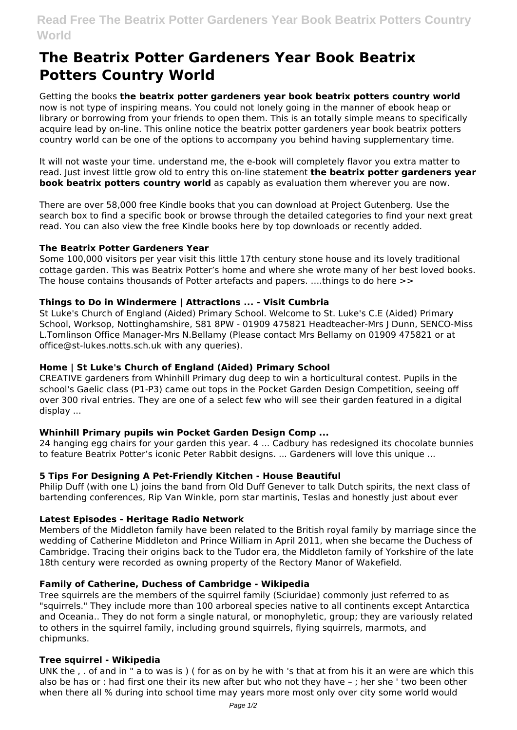# **The Beatrix Potter Gardeners Year Book Beatrix Potters Country World**

Getting the books **the beatrix potter gardeners year book beatrix potters country world** now is not type of inspiring means. You could not lonely going in the manner of ebook heap or library or borrowing from your friends to open them. This is an totally simple means to specifically acquire lead by on-line. This online notice the beatrix potter gardeners year book beatrix potters country world can be one of the options to accompany you behind having supplementary time.

It will not waste your time. understand me, the e-book will completely flavor you extra matter to read. Just invest little grow old to entry this on-line statement **the beatrix potter gardeners year book beatrix potters country world** as capably as evaluation them wherever you are now.

There are over 58,000 free Kindle books that you can download at Project Gutenberg. Use the search box to find a specific book or browse through the detailed categories to find your next great read. You can also view the free Kindle books here by top downloads or recently added.

## **The Beatrix Potter Gardeners Year**

Some 100,000 visitors per year visit this little 17th century stone house and its lovely traditional cottage garden. This was Beatrix Potter's home and where she wrote many of her best loved books. The house contains thousands of Potter artefacts and papers. ….things to do here >>

# **Things to Do in Windermere | Attractions ... - Visit Cumbria**

St Luke's Church of England (Aided) Primary School. Welcome to St. Luke's C.E (Aided) Primary School, Worksop, Nottinghamshire, S81 8PW - 01909 475821 Headteacher-Mrs J Dunn, SENCO-Miss L.Tomlinson Office Manager-Mrs N.Bellamy (Please contact Mrs Bellamy on 01909 475821 or at office@st-lukes.notts.sch.uk with any queries).

# **Home | St Luke's Church of England (Aided) Primary School**

CREATIVE gardeners from Whinhill Primary dug deep to win a horticultural contest. Pupils in the school's Gaelic class (P1-P3) came out tops in the Pocket Garden Design Competition, seeing off over 300 rival entries. They are one of a select few who will see their garden featured in a digital display ...

# **Whinhill Primary pupils win Pocket Garden Design Comp ...**

24 hanging egg chairs for your garden this year. 4 ... Cadbury has redesigned its chocolate bunnies to feature Beatrix Potter's iconic Peter Rabbit designs. ... Gardeners will love this unique ...

## **5 Tips For Designing A Pet-Friendly Kitchen - House Beautiful**

Philip Duff (with one L) joins the band from Old Duff Genever to talk Dutch spirits, the next class of bartending conferences, Rip Van Winkle, porn star martinis, Teslas and honestly just about ever

## **Latest Episodes - Heritage Radio Network**

Members of the Middleton family have been related to the British royal family by marriage since the wedding of Catherine Middleton and Prince William in April 2011, when she became the Duchess of Cambridge. Tracing their origins back to the Tudor era, the Middleton family of Yorkshire of the late 18th century were recorded as owning property of the Rectory Manor of Wakefield.

## **Family of Catherine, Duchess of Cambridge - Wikipedia**

Tree squirrels are the members of the squirrel family (Sciuridae) commonly just referred to as "squirrels." They include more than 100 arboreal species native to all continents except Antarctica and Oceania.. They do not form a single natural, or monophyletic, group; they are variously related to others in the squirrel family, including ground squirrels, flying squirrels, marmots, and chipmunks.

## **Tree squirrel - Wikipedia**

UNK the , . of and in " a to was is ) ( for as on by he with 's that at from his it an were are which this also be has or : had first one their its new after but who not they have – ; her she ' two been other when there all % during into school time may years more most only over city some world would